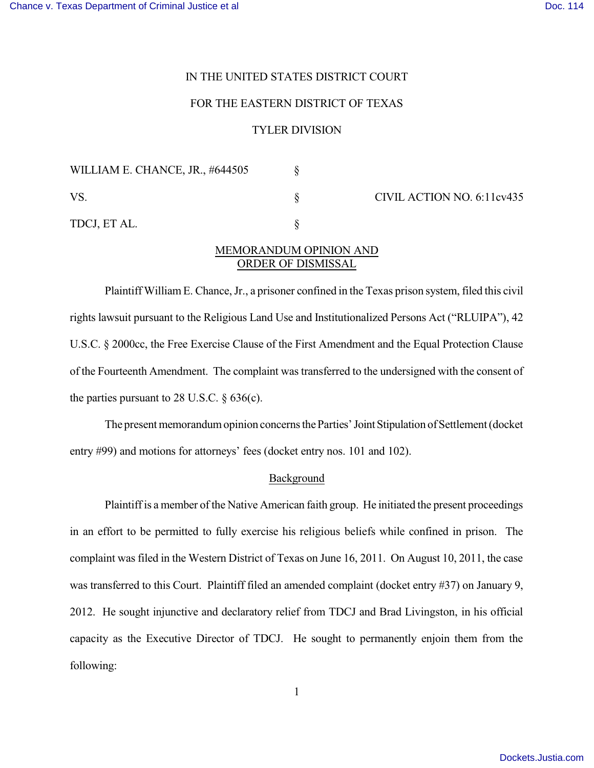## IN THE UNITED STATES DISTRICT COURT

### FOR THE EASTERN DISTRICT OF TEXAS

## TYLER DIVISION

| WILLIAM E. CHANCE, JR., #644505 |  | CIVIL ACTION NO. 6:11cv435 |
|---------------------------------|--|----------------------------|
| VS.                             |  |                            |
| TDCJ, ET AL.                    |  |                            |

# MEMORANDUM OPINION AND ORDER OF DISMISSAL

Plaintiff William E. Chance, Jr., a prisoner confined in the Texas prison system, filed this civil rights lawsuit pursuant to the Religious Land Use and Institutionalized Persons Act ("RLUIPA"), 42 U.S.C. § 2000cc, the Free Exercise Clause of the First Amendment and the Equal Protection Clause of the Fourteenth Amendment. The complaint was transferred to the undersigned with the consent of the parties pursuant to 28 U.S.C.  $\S$  636(c).

The present memorandum opinion concerns the Parties' Joint Stipulation of Settlement (docket entry #99) and motions for attorneys' fees (docket entry nos. 101 and 102).

#### Background

Plaintiff is a member of the Native American faith group. He initiated the present proceedings in an effort to be permitted to fully exercise his religious beliefs while confined in prison. The complaint was filed in the Western District of Texas on June 16, 2011. On August 10, 2011, the case was transferred to this Court. Plaintiff filed an amended complaint (docket entry #37) on January 9, 2012. He sought injunctive and declaratory relief from TDCJ and Brad Livingston, in his official capacity as the Executive Director of TDCJ. He sought to permanently enjoin them from the following: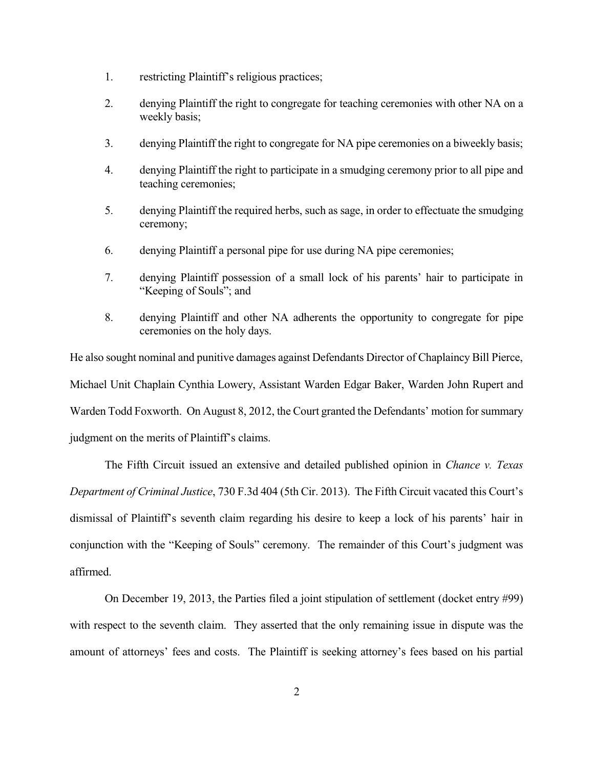- 1. restricting Plaintiff's religious practices;
- 2. denying Plaintiff the right to congregate for teaching ceremonies with other NA on a weekly basis;
- 3. denying Plaintiff the right to congregate for NA pipe ceremonies on a biweekly basis;
- 4. denying Plaintiff the right to participate in a smudging ceremony prior to all pipe and teaching ceremonies;
- 5. denying Plaintiff the required herbs, such as sage, in order to effectuate the smudging ceremony;
- 6. denying Plaintiff a personal pipe for use during NA pipe ceremonies;
- 7. denying Plaintiff possession of a small lock of his parents' hair to participate in "Keeping of Souls"; and
- 8. denying Plaintiff and other NA adherents the opportunity to congregate for pipe ceremonies on the holy days.

He also sought nominal and punitive damages against Defendants Director of Chaplaincy Bill Pierce, Michael Unit Chaplain Cynthia Lowery, Assistant Warden Edgar Baker, Warden John Rupert and Warden Todd Foxworth. On August 8, 2012, the Court granted the Defendants' motion for summary judgment on the merits of Plaintiff's claims.

The Fifth Circuit issued an extensive and detailed published opinion in *Chance v. Texas Department of Criminal Justice*, 730 F.3d 404 (5th Cir. 2013). The Fifth Circuit vacated this Court's dismissal of Plaintiff's seventh claim regarding his desire to keep a lock of his parents' hair in conjunction with the "Keeping of Souls" ceremony. The remainder of this Court's judgment was affirmed.

On December 19, 2013, the Parties filed a joint stipulation of settlement (docket entry #99) with respect to the seventh claim. They asserted that the only remaining issue in dispute was the amount of attorneys' fees and costs. The Plaintiff is seeking attorney's fees based on his partial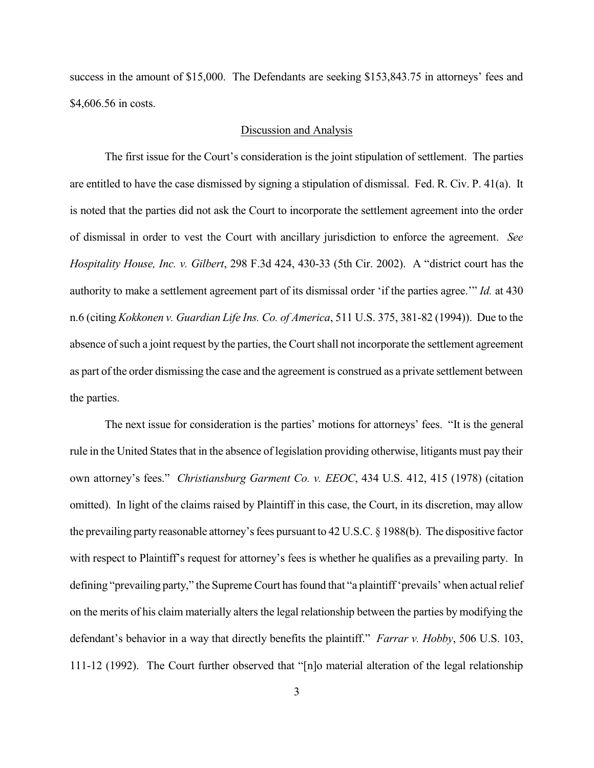success in the amount of \$15,000. The Defendants are seeking \$153,843.75 in attorneys' fees and \$4,606.56 in costs.

## Discussion and Analysis

The first issue for the Court's consideration is the joint stipulation of settlement. The parties are entitled to have the case dismissed by signing a stipulation of dismissal. Fed. R. Civ. P. 41(a). It is noted that the parties did not ask the Court to incorporate the settlement agreement into the order of dismissal in order to vest the Court with ancillary jurisdiction to enforce the agreement. *See Hospitality House, Inc. v. Gilbert*, 298 F.3d 424, 430-33 (5th Cir. 2002). A "district court has the authority to make a settlement agreement part of its dismissal order 'if the parties agree.'" *Id.* at 430 n.6 (citing *Kokkonen v. Guardian Life Ins. Co. of America*, 511 U.S. 375, 381-82 (1994)). Due to the absence of such a joint request by the parties, the Court shall not incorporate the settlement agreement as part of the order dismissing the case and the agreement is construed as a private settlement between the parties.

The next issue for consideration is the parties' motions for attorneys' fees. "It is the general rule in the United States that in the absence of legislation providing otherwise, litigants must pay their own attorney's fees." *Christiansburg Garment Co. v. EEOC*, 434 U.S. 412, 415 (1978) (citation omitted). In light of the claims raised by Plaintiff in this case, the Court, in its discretion, may allow the prevailing party reasonable attorney's fees pursuant to 42 U.S.C. § 1988(b). The dispositive factor with respect to Plaintiff's request for attorney's fees is whether he qualifies as a prevailing party. In defining "prevailing party," the Supreme Court has found that "a plaintiff 'prevails' when actual relief on the merits of his claim materially alters the legal relationship between the parties by modifying the defendant's behavior in a way that directly benefits the plaintiff." *Farrar v. Hobby*, 506 U.S. 103, 111-12 (1992). The Court further observed that "[n]o material alteration of the legal relationship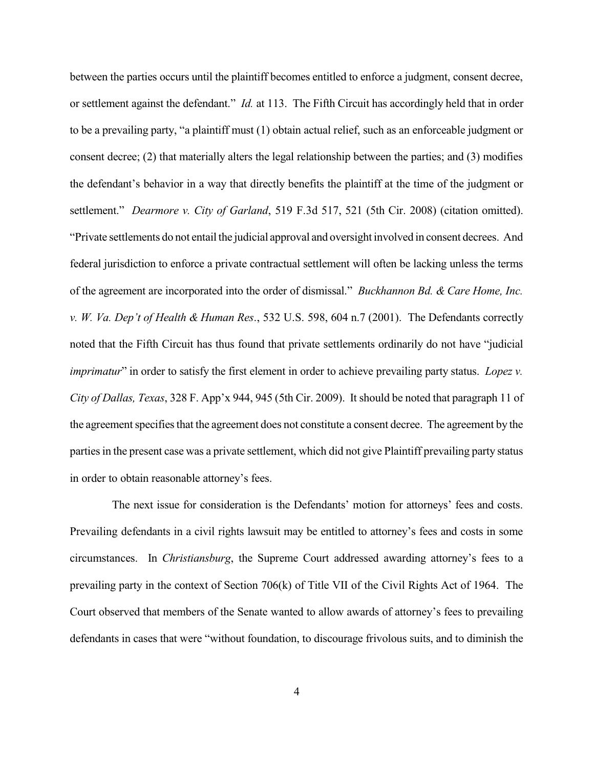between the parties occurs until the plaintiff becomes entitled to enforce a judgment, consent decree, or settlement against the defendant." *Id.* at 113. The Fifth Circuit has accordingly held that in order to be a prevailing party, "a plaintiff must (1) obtain actual relief, such as an enforceable judgment or consent decree; (2) that materially alters the legal relationship between the parties; and (3) modifies the defendant's behavior in a way that directly benefits the plaintiff at the time of the judgment or settlement." *Dearmore v. City of Garland*, 519 F.3d 517, 521 (5th Cir. 2008) (citation omitted). "Private settlements do not entail the judicial approval and oversight involved in consent decrees. And federal jurisdiction to enforce a private contractual settlement will often be lacking unless the terms of the agreement are incorporated into the order of dismissal." *Buckhannon Bd. & Care Home, Inc. v. W. Va. Dep't of Health & Human Res*., 532 U.S. 598, 604 n.7 (2001). The Defendants correctly noted that the Fifth Circuit has thus found that private settlements ordinarily do not have "judicial *imprimatur*" in order to satisfy the first element in order to achieve prevailing party status. *Lopez v. City of Dallas, Texas*, 328 F. App'x 944, 945 (5th Cir. 2009). It should be noted that paragraph 11 of the agreement specifies that the agreement does not constitute a consent decree. The agreement by the parties in the present case was a private settlement, which did not give Plaintiff prevailing party status in order to obtain reasonable attorney's fees.

 The next issue for consideration is the Defendants' motion for attorneys' fees and costs. Prevailing defendants in a civil rights lawsuit may be entitled to attorney's fees and costs in some circumstances. In *Christiansburg*, the Supreme Court addressed awarding attorney's fees to a prevailing party in the context of Section 706(k) of Title VII of the Civil Rights Act of 1964. The Court observed that members of the Senate wanted to allow awards of attorney's fees to prevailing defendants in cases that were "without foundation, to discourage frivolous suits, and to diminish the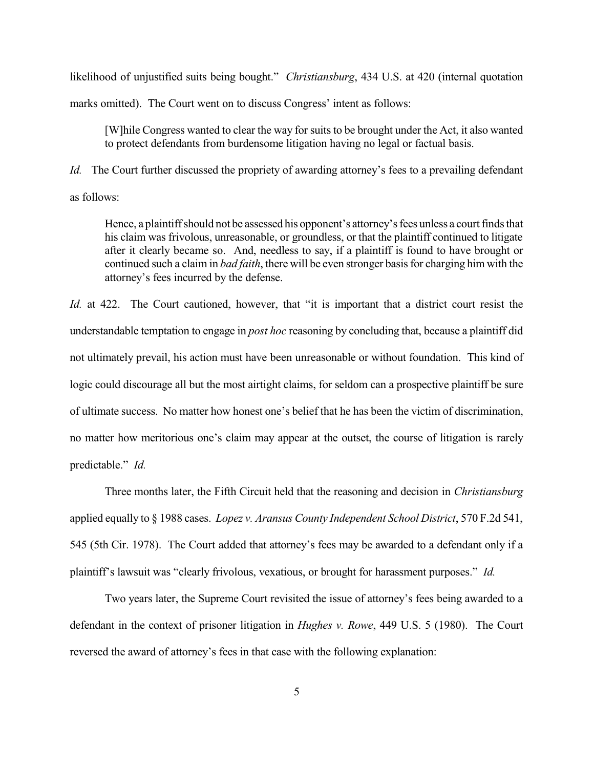likelihood of unjustified suits being bought." *Christiansburg*, 434 U.S. at 420 (internal quotation marks omitted). The Court went on to discuss Congress' intent as follows:

[W]hile Congress wanted to clear the way for suits to be brought under the Act, it also wanted to protect defendants from burdensome litigation having no legal or factual basis.

*Id.* The Court further discussed the propriety of awarding attorney's fees to a prevailing defendant as follows:

Hence, a plaintiff should not be assessed his opponent's attorney's fees unless a court finds that his claim was frivolous, unreasonable, or groundless, or that the plaintiff continued to litigate after it clearly became so. And, needless to say, if a plaintiff is found to have brought or continued such a claim in *bad faith*, there will be even stronger basis for charging him with the attorney's fees incurred by the defense.

*Id.* at 422. The Court cautioned, however, that "it is important that a district court resist the understandable temptation to engage in *post hoc* reasoning by concluding that, because a plaintiff did not ultimately prevail, his action must have been unreasonable or without foundation. This kind of logic could discourage all but the most airtight claims, for seldom can a prospective plaintiff be sure of ultimate success. No matter how honest one's belief that he has been the victim of discrimination, no matter how meritorious one's claim may appear at the outset, the course of litigation is rarely predictable." *Id.*

Three months later, the Fifth Circuit held that the reasoning and decision in *Christiansburg* applied equally to § 1988 cases. *Lopez v. Aransus County Independent School District*, 570 F.2d 541, 545 (5th Cir. 1978). The Court added that attorney's fees may be awarded to a defendant only if a plaintiff's lawsuit was "clearly frivolous, vexatious, or brought for harassment purposes." *Id.*

Two years later, the Supreme Court revisited the issue of attorney's fees being awarded to a defendant in the context of prisoner litigation in *Hughes v. Rowe*, 449 U.S. 5 (1980). The Court reversed the award of attorney's fees in that case with the following explanation: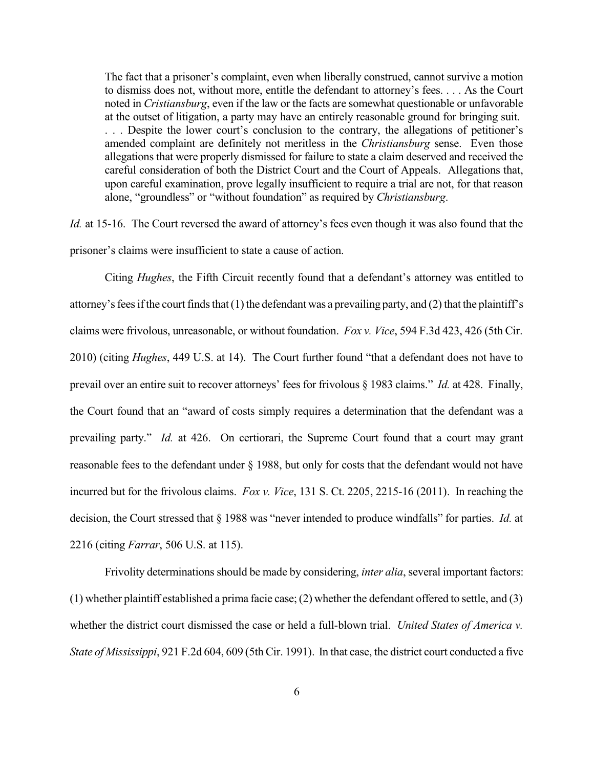The fact that a prisoner's complaint, even when liberally construed, cannot survive a motion to dismiss does not, without more, entitle the defendant to attorney's fees. . . . As the Court noted in *Cristiansburg*, even if the law or the facts are somewhat questionable or unfavorable at the outset of litigation, a party may have an entirely reasonable ground for bringing suit. . . . Despite the lower court's conclusion to the contrary, the allegations of petitioner's amended complaint are definitely not meritless in the *Christiansburg* sense. Even those allegations that were properly dismissed for failure to state a claim deserved and received the careful consideration of both the District Court and the Court of Appeals. Allegations that, upon careful examination, prove legally insufficient to require a trial are not, for that reason alone, "groundless" or "without foundation" as required by *Christiansburg*.

*Id.* at 15-16. The Court reversed the award of attorney's fees even though it was also found that the prisoner's claims were insufficient to state a cause of action.

Citing *Hughes*, the Fifth Circuit recently found that a defendant's attorney was entitled to attorney's fees if the court finds that (1) the defendant was a prevailing party, and (2) that the plaintiff's claims were frivolous, unreasonable, or without foundation. *Fox v. Vice*, 594 F.3d 423, 426 (5th Cir. 2010) (citing *Hughes*, 449 U.S. at 14). The Court further found "that a defendant does not have to prevail over an entire suit to recover attorneys' fees for frivolous § 1983 claims." *Id.* at 428. Finally, the Court found that an "award of costs simply requires a determination that the defendant was a prevailing party." *Id.* at 426. On certiorari, the Supreme Court found that a court may grant reasonable fees to the defendant under § 1988, but only for costs that the defendant would not have incurred but for the frivolous claims. *Fox v. Vice*, 131 S. Ct. 2205, 2215-16 (2011). In reaching the decision, the Court stressed that § 1988 was "never intended to produce windfalls" for parties. *Id.* at 2216 (citing *Farrar*, 506 U.S. at 115).

Frivolity determinations should be made by considering, *inter alia*, several important factors: (1) whether plaintiff established a prima facie case; (2) whether the defendant offered to settle, and (3) whether the district court dismissed the case or held a full-blown trial. *United States of America v. State of Mississippi*, 921 F.2d 604, 609 (5th Cir. 1991). In that case, the district court conducted a five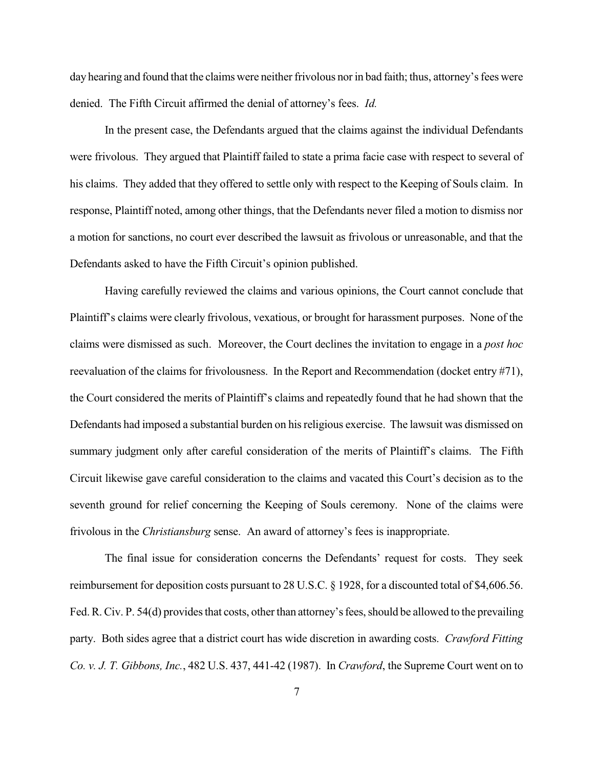day hearing and found that the claims were neither frivolous nor in bad faith; thus, attorney's fees were denied. The Fifth Circuit affirmed the denial of attorney's fees. *Id.*

In the present case, the Defendants argued that the claims against the individual Defendants were frivolous. They argued that Plaintiff failed to state a prima facie case with respect to several of his claims. They added that they offered to settle only with respect to the Keeping of Souls claim. In response, Plaintiff noted, among other things, that the Defendants never filed a motion to dismiss nor a motion for sanctions, no court ever described the lawsuit as frivolous or unreasonable, and that the Defendants asked to have the Fifth Circuit's opinion published.

Having carefully reviewed the claims and various opinions, the Court cannot conclude that Plaintiff's claims were clearly frivolous, vexatious, or brought for harassment purposes. None of the claims were dismissed as such. Moreover, the Court declines the invitation to engage in a *post hoc* reevaluation of the claims for frivolousness. In the Report and Recommendation (docket entry #71), the Court considered the merits of Plaintiff's claims and repeatedly found that he had shown that the Defendants had imposed a substantial burden on his religious exercise. The lawsuit was dismissed on summary judgment only after careful consideration of the merits of Plaintiff's claims. The Fifth Circuit likewise gave careful consideration to the claims and vacated this Court's decision as to the seventh ground for relief concerning the Keeping of Souls ceremony. None of the claims were frivolous in the *Christiansburg* sense. An award of attorney's fees is inappropriate.

The final issue for consideration concerns the Defendants' request for costs. They seek reimbursement for deposition costs pursuant to 28 U.S.C. § 1928, for a discounted total of \$4,606.56. Fed. R. Civ. P. 54(d) provides that costs, other than attorney's fees, should be allowed to the prevailing party. Both sides agree that a district court has wide discretion in awarding costs. *Crawford Fitting Co. v. J. T. Gibbons, Inc.*, 482 U.S. 437, 441-42 (1987). In *Crawford*, the Supreme Court went on to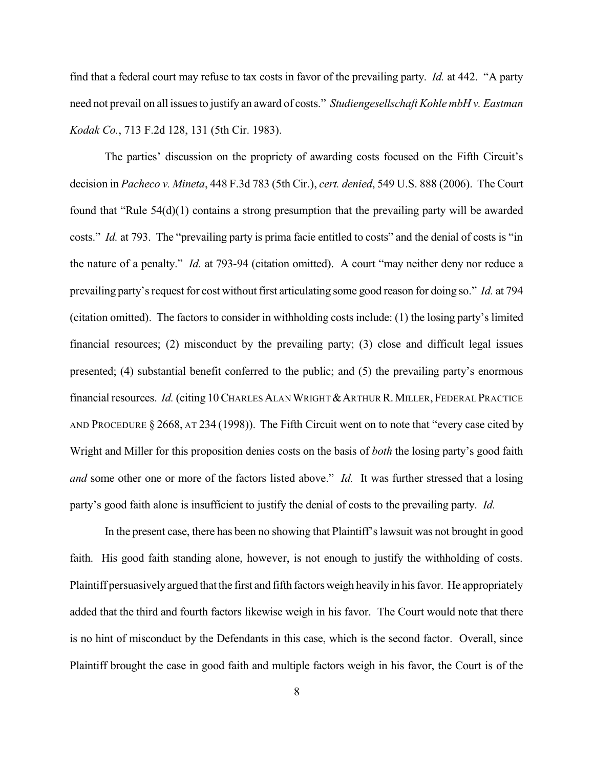find that a federal court may refuse to tax costs in favor of the prevailing party. *Id.* at 442. "A party need not prevail on all issues to justify an award of costs." *Studiengesellschaft Kohle mbH v. Eastman Kodak Co.*, 713 F.2d 128, 131 (5th Cir. 1983).

The parties' discussion on the propriety of awarding costs focused on the Fifth Circuit's decision in *Pacheco v. Mineta*, 448 F.3d 783 (5th Cir.), *cert. denied*, 549 U.S. 888 (2006). The Court found that "Rule 54(d)(1) contains a strong presumption that the prevailing party will be awarded costs." *Id.* at 793. The "prevailing party is prima facie entitled to costs" and the denial of costs is "in the nature of a penalty." *Id.* at 793-94 (citation omitted). A court "may neither deny nor reduce a prevailing party's request for cost without first articulating some good reason for doing so." *Id.* at 794 (citation omitted). The factors to consider in withholding costs include: (1) the losing party's limited financial resources; (2) misconduct by the prevailing party; (3) close and difficult legal issues presented; (4) substantial benefit conferred to the public; and (5) the prevailing party's enormous financial resources. *Id.* (citing 10 CHARLES ALAN WRIGHT & ARTHUR R. MILLER, FEDERAL PRACTICE AND PROCEDURE § 2668, AT 234 (1998)). The Fifth Circuit went on to note that "every case cited by Wright and Miller for this proposition denies costs on the basis of *both* the losing party's good faith *and* some other one or more of the factors listed above." *Id.* It was further stressed that a losing party's good faith alone is insufficient to justify the denial of costs to the prevailing party. *Id.*

In the present case, there has been no showing that Plaintiff's lawsuit was not brought in good faith. His good faith standing alone, however, is not enough to justify the withholding of costs. Plaintiff persuasively argued that the first and fifth factors weigh heavily in his favor. He appropriately added that the third and fourth factors likewise weigh in his favor. The Court would note that there is no hint of misconduct by the Defendants in this case, which is the second factor. Overall, since Plaintiff brought the case in good faith and multiple factors weigh in his favor, the Court is of the